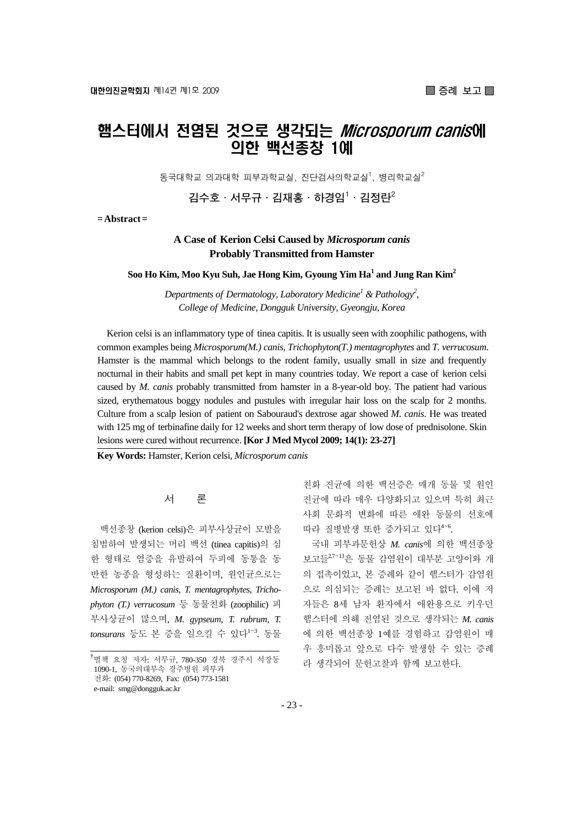## 햄스터에서 전염된 것으로 생각되는 *Microsporum canis*에 의한 백선종창 1예

동국대학교 의과대학 피부과학교실, 진단검사의학교실<sup>1</sup>, 병리학교실 $^2$ 

**김수호·서무규·김재홍·하경임1 ·김정란2**

**= Abstract =** 

## **A Case of Kerion Celsi Caused by** *Microsporum canis*  **Probably Transmitted from Hamster**

**Soo Ho Kim, Moo Kyu Suh, Jae Hong Kim, Gyoung Yim Ha1 and Jung Ran Kim2**

*Departments of Dermatology, Laboratory Medicine<sup>1</sup> & Pathology<sup>2</sup>, College of Medicine, Dongguk University, Gyeongju, Korea* 

Kerion celsi is an inflammatory type of tinea capitis. It is usually seen with zoophilic pathogens, with common examples being *Microsporum(M.) canis*, *Trichophyton(T.) mentagrophytes* and *T. verrucosum*. Hamster is the mammal which belongs to the rodent family, usually small in size and frequently nocturnal in their habits and small pet kept in many countries today. We report a case of kerion celsi caused by *M. canis* probably transmitted from hamster in a 8-year-old boy. The patient had various sized, erythematous boggy nodules and pustules with irregular hair loss on the scalp for 2 months. Culture from a scalp lesion of patient on Sabouraud's dextrose agar showed *M. canis*. He was treated with 125 mg of terbinafine daily for 12 weeks and short term therapy of low dose of prednisolone. Skin lesions were cured without recurrence. **[Kor J Med Mycol 2009; 14(1): 23-27]**

**Key Words:** Hamster, Kerion celsi, *Microsporum canis*

서 론

백선종창 (kerion celsi)은 피부사상균이 모발을 침범하여 발생되는 머리 백선 (tinea capitis)의 심 한 형태로 염증을 유발하여 두피에 동통을 동 반한 농종을 형성하는 질환이며, 원인균으로는 *Microsporum (M.) canis*, *T. mentagrophytes*, *Trichophyton (T.) verrucosum* 등 동물친화 (zoophilic) 피 부사상균이 많으며, *M. gypseum*, *T. rubrum*, *T. tonsurans* 등도 본 증을 일으킬 수 있다<sup>1~3</sup>. 동물

친화 진균에 의한 백선증은 매개 동물 및 원인 진균에 따라 매우 다양화되고 있으며 특히 최근 사회 문화적 변화에 따른 애완 동물의 선호에 따라 질병발생 또한 증가되고 있다<sup>4~6</sup>.

국내 피부과문헌상 *M. canis*에 의한 백선종창 보고들2,7~<sup>13</sup>은 동물 감염원이 대부분 고양이와 개 의 접촉이었고, 본 증례와 같이 햄스터가 감염원 으로 의심되는 증례는 보고된 바 없다. 이에 저 자들은 8세 남자 환자에서 애완용으로 키우던 햄스터에 의해 전염된 것으로 생각되는 *M. canis* 에 의한 백선종창 1예를 경험하고 감염원이 매 우 흥미롭고 앞으로 다수 발생할 수 있는 증례 라 생각되어 문헌고찰과 함께 보고한다.

<sup>&</sup>lt;sup>†</sup>별책 요청 저자: 서무규, 780-350 경북 경주시 석장동 1090-1, 동국의대부속 경주병원 피부과 전화: (054) 770-8269, Fax: (054) 773-1581 e-mail: smg@dongguk.ac.kr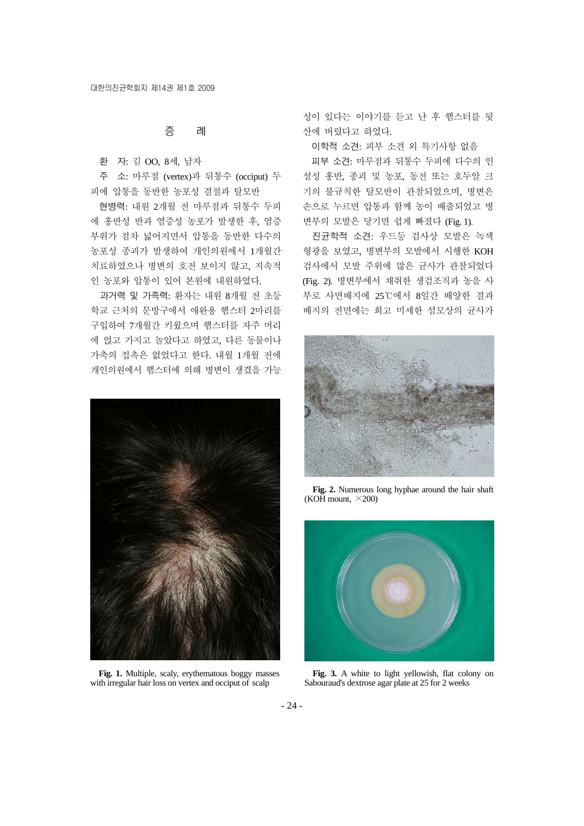증 례

환 자: 김 OO, 8세, 남자

주 소: 마루점 (vertex)과 뒤통수 (occiput) 두 피에 압통을 동반한 농포성 결절과 탈모반

현병력: 내원 2개월 전 마루점과 뒤통수 두피 에 홍반성 반과 염증성 농포가 발생한 후, 염증 부위가 점차 넓어지면서 압통을 동반한 다수의 농포성 종괴가 발생하여 개인의원에서 1개월간 치료하였으나 병변의 호전 보이지 않고, 지속적 인 농포와 압통이 있어 본원에 내원하였다.

과거력 및 가족력: 환자는 내원 8개월 전 초등 학교 근처의 문방구에서 애완용 햄스터 2마리를 구입하여 7개월간 키웠으며 햄스터를 자주 머리 에 얹고 가지고 놀았다고 하였고, 다른 동물이나 가축의 접촉은 없었다고 한다. 내월 1개월 전에 개인의원에서 햄스터에 의해 병변이 생겼을 가능



**Fig. 1.** Multiple, scaly, erythematous boggy masses with irregular hair loss on vertex and occiput of scalp

성이 있다는 이야기를 듣고 난 후 햄스터를 뒷 산에 버렸다고 하였다.

이학적 소견: 피부 소견 외 특기사항 없음

피부 소견: 마루점과 뒤통수 두피에 다수의 인 설성 홍반, 종괴 및 농포, 동전 또는 호두알 크 기의 불규칙한 탈모반이 관찰되었으며, 병변은 손으로 누르면 압통과 함께 농이 배출되었고 병 변부의 모발은 당기면 쉽게 빠졌다 (Fig. 1).

진균학적 소견: 우드등 검사상 모발은 녹색 형광을 보였고, 병변부의 모발에서 시행한 KOH 검사에서 모발 주위에 많은 균사가 관찰되었다 (Fig. 2). 병변부에서 채취한 생검조직과 농을 사 부로 사면배지에 25℃에서 8일간 배양한 결과 배지의 전면에는 희고 미세한 섬모상의 균사가



**Fig. 2.** Numerous long hyphae around the hair shaft (KOH mount,  $\times$ 200)



**Fig. 3.** A white to light yellowish, flat colony on Sabouraud's dextrose agar plate at 25 for 2 weeks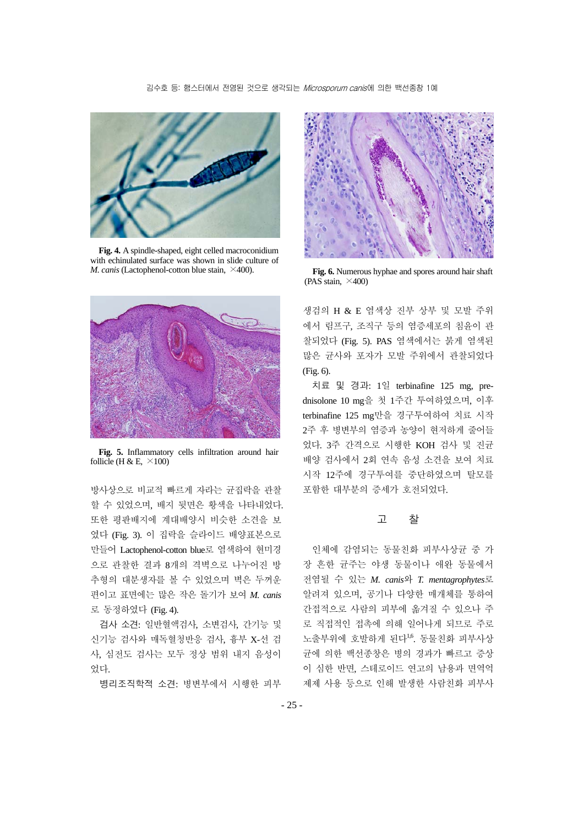

**Fig. 4.** A spindle-shaped, eight celled macroconidium with echinulated surface was shown in slide culture of *M. canis* (Lactophenol-cotton blue stain,  $\times$ 400).



**Fig. 5.** Inflammatory cells infiltration around hair follicle (H & E,  $\times$ 100)

방사상으로 비교적 빠르게 자라는 균집락을 관찰 할 수 있었으며, 배지 뒷면은 황색을 나타내었다. 또한 평판배지에 계대배양시 비슷한 소견을 보 였다 (Fig. 3). 이 집락을 슬라이드 배양표본으로 만들어 Lactophenol-cotton blue로 염색하여 현미경 으로 관찰한 결과 8개의 격벽으로 나누어진 방 추형의 대분생자를 볼 수 있었으며 벽은 두꺼운 편이고 표면에는 많은 작은 돌기가 보여 *M. canis* 로 동정하였다 (Fig. 4).

검사 소견: 일반혈액검사, 소변검사, 간기능 및 신기능 검사와 매독혈청반응 검사, 흉부 X-선 검 사, 심전도 검사는 모두 정상 범위 내지 음성이 었다.

병리조직학적 소견: 병변부에서 시행한 피부



**Fig. 6.** Numerous hyphae and spores around hair shaft (PAS stain,  $\times$ 400)

생검의 H & E 염색상 진부 상부 및 모발 주위 에서 림프구, 조직구 등의 염증세포의 침윤이 관 찰되었다 (Fig. 5). PAS 염색에서는 붉게 염색된 많은 균사와 포자가 모발 주위에서 관찰되었다 (Fig. 6).

치료 및 경과: 1일 terbinafine 125 mg, prednisolone 10 mg을 첫 1주간 투여하였으며, 이후 terbinafine 125 mg만을 경구투여하여 치료 시작 2주 후 병변부의 염증과 농양이 현저하게 줄어들 었다. 3주 간격으로 시행한 KOH 검사 및 진균 배양 검사에서 2회 연속 음성 소견을 보여 치료 시작 12주에 경구투여를 중단하였으며 탈모를 포함한 대부분의 증세가 호전되었다.

## 고 찰

인체에 감염되는 동물친화 피부사상균 중 가 장 흔한 균주는 야생 동물이나 애완 동물에서 전염될 수 있는 *M. canis*와 *T. mentagrophytes*로 알려져 있으며, 공기나 다양한 매개체를 통하여 간접적으로 사람의 피부에 옮겨질 수 있으나 주 로 직접적인 접촉에 의해 일어나게 되므로 주로 노출부위에 호발하게 된다<sup>1,6</sup>. 동물친화 피부사상 균에 의한 백선종창은 병의 경과가 빠르고 증상 이 심한 반면, 스테로이드 연고의 남용과 면역억 제제 사용 등으로 인해 발생한 사람친화 피부사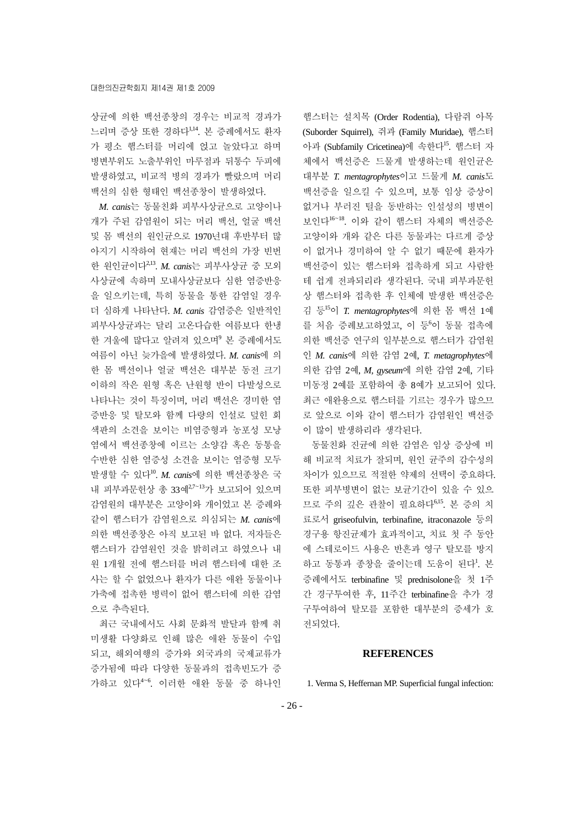상균에 의한 백선종창의 경우는 비교적 경과가 느리며 증상 또한 경하다1,14. 본 증례에서도 환자 가 평소 햄스터를 머리에 얹고 놀았다고 하며 병변부위도 노출부위인 마루점과 뒤통수 두피에 발생하였고, 비교적 병의 경과가 빨랐으며 머리 백선의 심한 형태인 백선종창이 발생하였다.

*M. canis*는 동물친화 피부사상균으로 고양이나 개가 주된 감염원이 되는 머리 백선, 얼굴 백선 및 몸 백선의 원인균으로 1970년대 후반부터 많 아지기 시작하여 현재는 머리 백선의 가장 빈번 한 원인균이다2,13. *M. canis*는 피부사상균 중 모외 사상균에 속하며 모내사상균보다 심한 염증반응 을 일으키는데, 특히 동물을 통한 감염일 경우 더 심하게 나타난다. *M. canis* 감염증은 일반적인 피부사상균과는 달리 고온다습한 여름보다 한냉 한 겨울에 많다고 알려져 있으며<sup>9</sup> 본 증례에서도 여름이 아닌 늦가을에 발생하였다. *M. canis*에 의 한 몸 백선이나 얼굴 백선은 대부분 동전 크기 이하의 작은 원형 혹은 난원형 반이 다발성으로 나타나는 것이 특징이며, 머리 백선은 경미한 염 증반응 및 탈모와 함께 다량의 인설로 덮힌 회 색판의 소견을 보이는 비염증형과 농포성 모낭 염에서 백선종창에 이르는 소양감 혹은 동통을 수반한 심한 염증성 소견을 보이는 염증형 모두 발생할 수 있다10. *M. canis*에 의한 백선종창은 국 내 피부과문헌상 총 33예2,7~<sup>13</sup>가 보고되어 있으며 감염원의 대부분은 고양이와 개이었고 본 증례와 같이 햄스터가 감염원으로 의심되는 *M. canis*에 의한 백선종창은 아직 보고된 바 없다. 저자들은 햄스터가 감염원인 것을 밝히려고 하였으나 내 원 1개월 전에 햄스터를 버려 햄스터에 대한 조 사는 할 수 없었으나 환자가 다른 애완 동물이나 가축에 접촉한 병력이 없어 햄스터에 의한 감염 으로 추측된다.

최근 국내에서도 사회 문화적 발달과 함께 취 미생활 다양화로 인해 많은 애완 동물이 수입 되고, 해외여행의 증가와 외국과의 국제교류가 증가됨에 따라 다양한 동물과의 접촉빈도가 증 가하고 있다<sup>4</sup>~<sup>6</sup> . 이러한 애완 동물 중 하나인

햄스터는 설치목 (Order Rodentia), 다람쥐 아목 (Suborder Squirrel), 쥐과 (Family Muridae), 햄스터 아과 (Subfamily Cricetinea)에 속한다<sup>15</sup>. 햄스터 자 체에서 백선증은 드물게 발생하는데 원인균은 대부분 *T. mentagrophytes*이고 드물게 *M. canis*도 백선증을 일으킬 수 있으며, 보통 임상 증상이 없거나 부러진 털을 동반하는 인설성의 병변이 보인다<sup>16</sup><sup>~</sup>18. 이와 같이 햄스터 자체의 백선증은 고양이와 개와 같은 다른 동물과는 다르게 증상 이 없거나 경미하여 알 수 없기 때문에 환자가 백선증이 있는 햄스터와 접촉하게 되고 사람한 테 쉽게 전파되리라 생각된다. 국내 피부과문헌 상 햄스터와 접촉한 후 인체에 발생한 백선증은 김 등<sup>15</sup>이 *T. mentagrophytes*에 의한 몸 백선 1예 를 처음 증례보고하였고, 이 등6이 동물 접촉에 의한 백선증 연구의 일부분으로 햄스터가 감염원 인 *M. canis*에 의한 감염 2예, *T. metagrophytes*에 의한 감염 2예, *M, gyseum*에 의한 감염 2예, 기타 미동정 2예를 포함하여 총 8예가 보고되어 있다. 최근 애완용으로 햄스터를 기르는 경우가 많으므 로 앞으로 이와 같이 햄스터가 감염원인 백선증 이 많이 발생하리라 생각된다.

동물친화 진균에 의한 감염은 임상 증상에 비 해 비교적 치료가 잘되며, 원인 균주의 감수성의 차이가 있으므로 적절한 약제의 선택이 중요하다. 또한 피부병변이 없는 보균기간이 있을 수 있으 므로 주의 깊은 관찰이 필요하다6,15. 본 증의 치 료로서 griseofulvin, terbinafine, itraconazole 등의 경구용 항진균제가 효과적이고, 치료 첫 주 동안 에 스테로이드 사용은 반흔과 영구 탈모를 방지 하고 동통과 종창을 줄이는데 도움이 된다<sup>1</sup>. 본 증례에서도 terbinafine 및 prednisolone을 첫 1주 간 경구투여한 후, 11주간 terbinafine을 추가 경 구투여하여 탈모를 포함한 대부분의 증세가 호 전되었다.

## **REFERENCES**

1. Verma S, Heffernan MP. Superficial fungal infection: